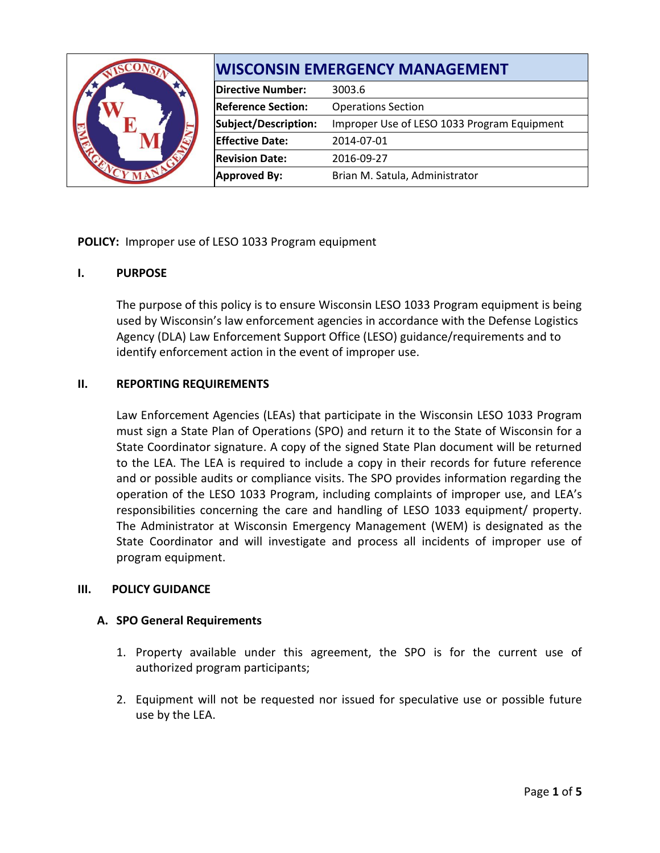|  | <b>WISCONSIN EMERGENCY MANAGEMENT</b> |                                             |
|--|---------------------------------------|---------------------------------------------|
|  | <b>Directive Number:</b>              | 3003.6                                      |
|  | <b>Reference Section:</b>             | <b>Operations Section</b>                   |
|  | Subject/Description:                  | Improper Use of LESO 1033 Program Equipment |
|  | <b>Effective Date:</b>                | 2014-07-01                                  |
|  | <b>Revision Date:</b>                 | 2016-09-27                                  |
|  | <b>Approved By:</b>                   | Brian M. Satula, Administrator              |

# **POLICY:** Improper use of LESO 1033 Program equipment

## **I. PURPOSE**

The purpose of this policy is to ensure Wisconsin LESO 1033 Program equipment is being used by Wisconsin's law enforcement agencies in accordance with the Defense Logistics Agency (DLA) Law Enforcement Support Office (LESO) guidance/requirements and to identify enforcement action in the event of improper use.

### **II. REPORTING REQUIREMENTS**

Law Enforcement Agencies (LEAs) that participate in the Wisconsin LESO 1033 Program must sign a State Plan of Operations (SPO) and return it to the State of Wisconsin for a State Coordinator signature. A copy of the signed State Plan document will be returned to the LEA. The LEA is required to include a copy in their records for future reference and or possible audits or compliance visits. The SPO provides information regarding the operation of the LESO 1033 Program, including complaints of improper use, and LEA's responsibilities concerning the care and handling of LESO 1033 equipment/ property. The Administrator at Wisconsin Emergency Management (WEM) is designated as the State Coordinator and will investigate and process all incidents of improper use of program equipment.

## **III. POLICY GUIDANCE**

#### **A. SPO General Requirements**

- 1. Property available under this agreement, the SPO is for the current use of authorized program participants;
- 2. Equipment will not be requested nor issued for speculative use or possible future use by the LEA.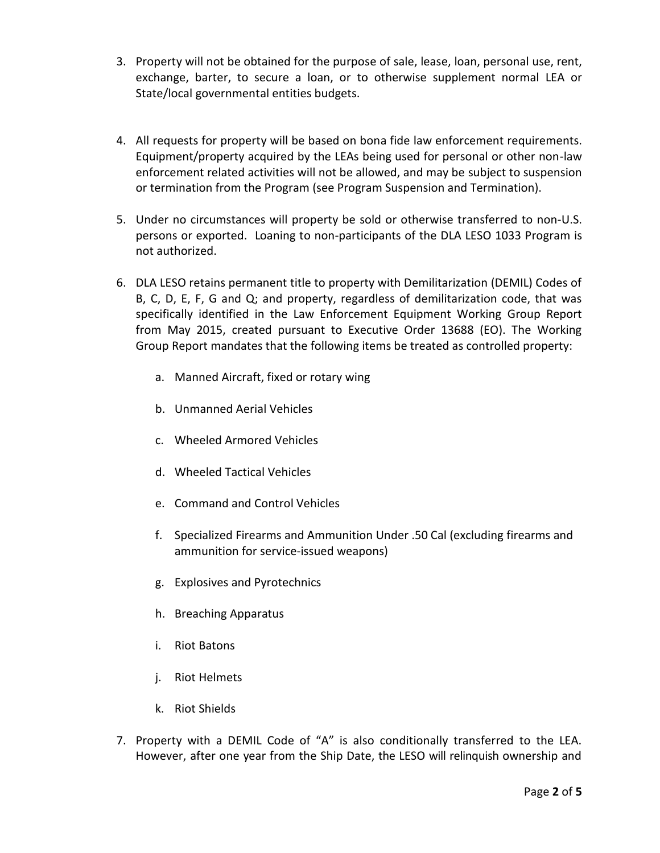- 3. Property will not be obtained for the purpose of sale, lease, loan, personal use, rent, exchange, barter, to secure a loan, or to otherwise supplement normal LEA or State/local governmental entities budgets.
- 4. All requests for property will be based on bona fide law enforcement requirements. Equipment/property acquired by the LEAs being used for personal or other non-law enforcement related activities will not be allowed, and may be subject to suspension or termination from the Program (see Program Suspension and Termination).
- 5. Under no circumstances will property be sold or otherwise transferred to non-U.S. persons or exported. Loaning to non-participants of the DLA LESO 1033 Program is not authorized.
- 6. DLA LESO retains permanent title to property with Demilitarization (DEMIL) Codes of B, C, D, E, F, G and Q; and property, regardless of demilitarization code, that was specifically identified in the Law Enforcement Equipment Working Group Report from May 2015, created pursuant to Executive Order 13688 (EO). The Working Group Report mandates that the following items be treated as controlled property:
	- a. Manned Aircraft, fixed or rotary wing
	- b. Unmanned Aerial Vehicles
	- c. Wheeled Armored Vehicles
	- d. Wheeled Tactical Vehicles
	- e. Command and Control Vehicles
	- f. Specialized Firearms and Ammunition Under .50 Cal (excluding firearms and ammunition for service-issued weapons)
	- g. Explosives and Pyrotechnics
	- h. Breaching Apparatus
	- i. Riot Batons
	- j. Riot Helmets
	- k. Riot Shields
- 7. Property with a DEMIL Code of "A" is also conditionally transferred to the LEA. However, after one year from the Ship Date, the LESO will relinquish ownership and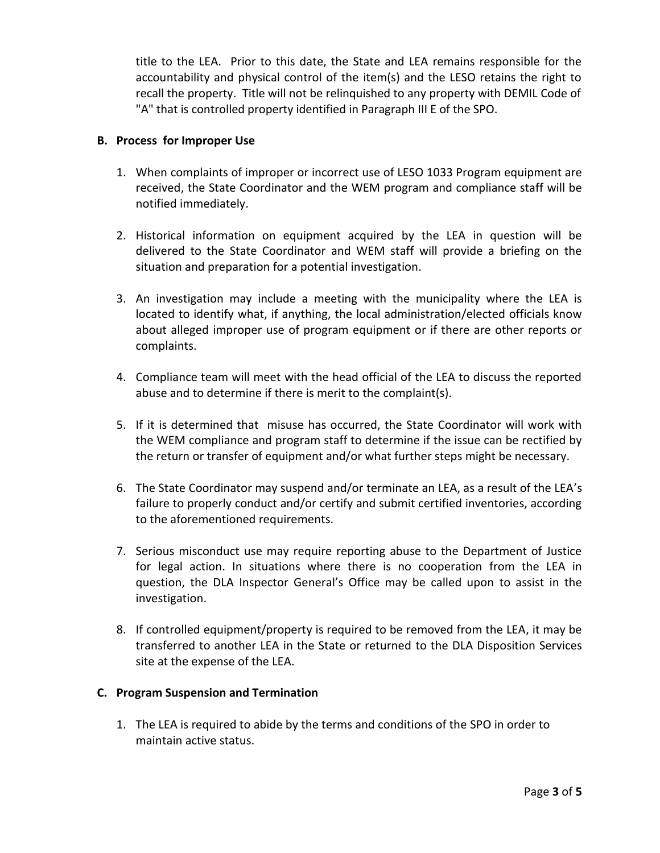title to the LEA. Prior to this date, the State and LEA remains responsible for the accountability and physical control of the item(s) and the LESO retains the right to recall the property. Title will not be relinquished to any property with DEMIL Code of "A" that is controlled property identified in Paragraph III E of the SPO.

# **B. Process for Improper Use**

- 1. When complaints of improper or incorrect use of LESO 1033 Program equipment are received, the State Coordinator and the WEM program and compliance staff will be notified immediately.
- 2. Historical information on equipment acquired by the LEA in question will be delivered to the State Coordinator and WEM staff will provide a briefing on the situation and preparation for a potential investigation.
- 3. An investigation may include a meeting with the municipality where the LEA is located to identify what, if anything, the local administration/elected officials know about alleged improper use of program equipment or if there are other reports or complaints.
- 4. Compliance team will meet with the head official of the LEA to discuss the reported abuse and to determine if there is merit to the complaint(s).
- 5. If it is determined that misuse has occurred, the State Coordinator will work with the WEM compliance and program staff to determine if the issue can be rectified by the return or transfer of equipment and/or what further steps might be necessary.
- 6. The State Coordinator may suspend and/or terminate an LEA, as a result of the LEA's failure to properly conduct and/or certify and submit certified inventories, according to the aforementioned requirements.
- 7. Serious misconduct use may require reporting abuse to the Department of Justice for legal action. In situations where there is no cooperation from the LEA in question, the DLA Inspector General's Office may be called upon to assist in the investigation.
- 8. If controlled equipment/property is required to be removed from the LEA, it may be transferred to another LEA in the State or returned to the DLA Disposition Services site at the expense of the LEA.

## **C. Program Suspension and Termination**

1. The LEA is required to abide by the terms and conditions of the SPO in order to maintain active status.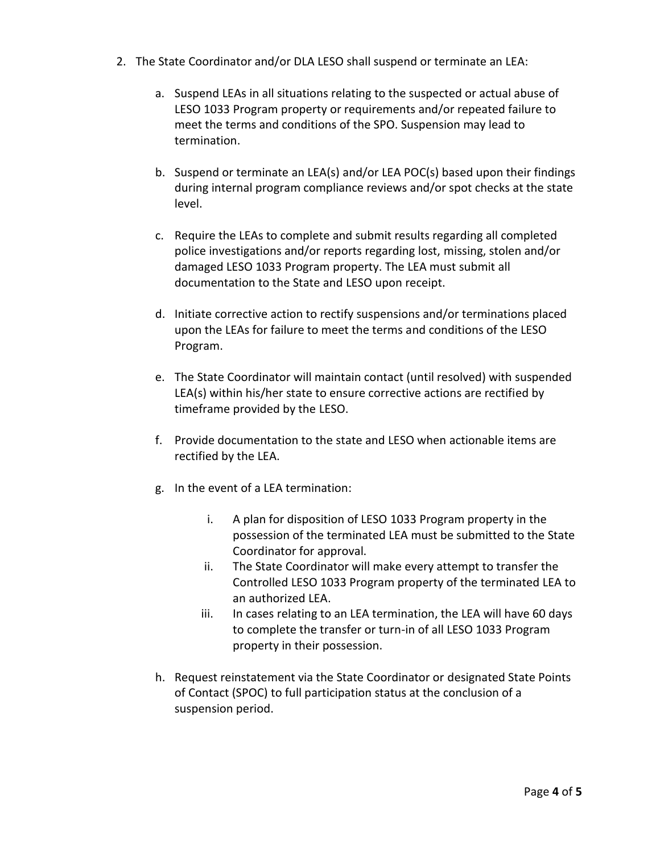- 2. The State Coordinator and/or DLA LESO shall suspend or terminate an LEA:
	- a. Suspend LEAs in all situations relating to the suspected or actual abuse of LESO 1033 Program property or requirements and/or repeated failure to meet the terms and conditions of the SPO. Suspension may lead to termination.
	- b. Suspend or terminate an LEA(s) and/or LEA POC(s) based upon their findings during internal program compliance reviews and/or spot checks at the state level.
	- c. Require the LEAs to complete and submit results regarding all completed police investigations and/or reports regarding lost, missing, stolen and/or damaged LESO 1033 Program property. The LEA must submit all documentation to the State and LESO upon receipt.
	- d. Initiate corrective action to rectify suspensions and/or terminations placed upon the LEAs for failure to meet the terms and conditions of the LESO Program.
	- e. The State Coordinator will maintain contact (until resolved) with suspended LEA(s) within his/her state to ensure corrective actions are rectified by timeframe provided by the LESO.
	- f. Provide documentation to the state and LESO when actionable items are rectified by the LEA.
	- g. In the event of a LEA termination:
		- i. A plan for disposition of LESO 1033 Program property in the possession of the terminated LEA must be submitted to the State Coordinator for approval.
		- ii. The State Coordinator will make every attempt to transfer the Controlled LESO 1033 Program property of the terminated LEA to an authorized LEA.
		- iii. In cases relating to an LEA termination, the LEA will have 60 days to complete the transfer or turn-in of all LESO 1033 Program property in their possession.
	- h. Request reinstatement via the State Coordinator or designated State Points of Contact (SPOC) to full participation status at the conclusion of a suspension period.